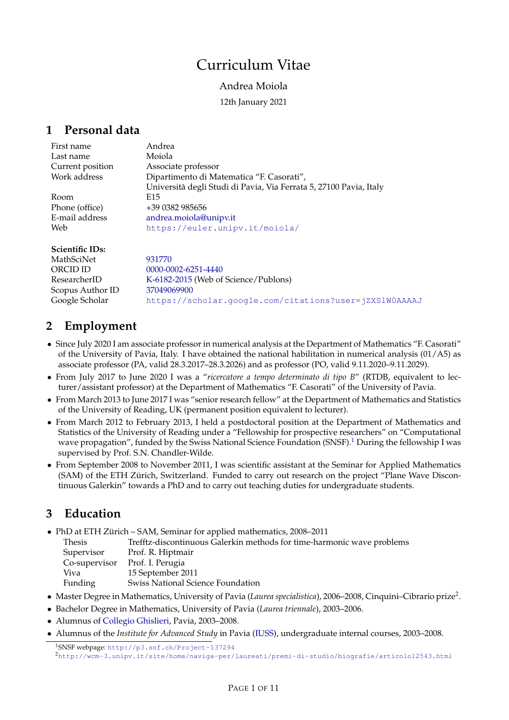# Curriculum Vitae

# Andrea Moiola

12th January 2021

# <span id="page-0-2"></span>**1 Personal data**

| Università degli Studi di Pavia, Via Ferrata 5, 27100 Pavia, Italy |
|--------------------------------------------------------------------|
|                                                                    |
|                                                                    |
|                                                                    |
|                                                                    |
|                                                                    |

| <b>Scientific IDs:</b> |                                                        |
|------------------------|--------------------------------------------------------|
| MathSciNet             | 931770                                                 |
| ORCID ID               | $0000 - 0002 - 6251 - 4440$                            |
| ResearcherID           | K-6182-2015 (Web of Science/Publons)                   |
| Scopus Author ID       | 37049069900                                            |
| Google Scholar         | https://scholar.qoogle.com/citations?user=jZXS1W0AAAAJ |

# <span id="page-0-3"></span>**2 Employment**

- Since July 2020 I am associate professor in numerical analysis at the Department of Mathematics "F. Casorati" of the University of Pavia, Italy. I have obtained the national habilitation in numerical analysis (01/A5) as associate professor (PA, valid 28.3.2017–28.3.2026) and as professor (PO, valid 9.11.2020–9.11.2029).
- From July 2017 to June 2020 I was a "*ricercatore a tempo determinato di tipo B*" (RTDB, equivalent to lecturer/assistant professor) at the Department of Mathematics "F. Casorati" of the University of Pavia.
- From March 2013 to June 2017 I was "senior research fellow" at the Department of Mathematics and Statistics of the University of Reading, UK (permanent position equivalent to lecturer).
- From March 2012 to February 2013, I held a postdoctoral position at the Department of Mathematics and Statistics of the University of Reading under a "Fellowship for prospective researchers" on "Computational wave propagation", funded by the Swiss National Science Foundation (SNSF).<sup>[1](#page-0-0)</sup> During the fellowship I was supervised by Prof. S.N. Chandler-Wilde.
- From September 2008 to November 2011, I was scientific assistant at the Seminar for Applied Mathematics (SAM) of the ETH Zürich, Switzerland. Funded to carry out research on the project "Plane Wave Discontinuous Galerkin" towards a PhD and to carry out teaching duties for undergraduate students.

# <span id="page-0-4"></span>**3 Education**

- PhD at ETH Zürich SAM, Seminar for applied mathematics, 2008–2011
- Thesis Trefftz-discontinuous Galerkin methods for time-harmonic wave problems
	- Supervisor Prof. R. Hiptmair
	- Co-supervisor Prof. I. Perugia
	- Viva 15 September 2011
	- Funding Swiss National Science Foundation
- Master Degree in Mathematics, University of Pavia (*Laurea specialistica*), 2006–2008, Cinquini–Cibrario prize[2](#page-0-1) .
- Bachelor Degree in Mathematics, University of Pavia (*Laurea triennale*), 2003–2006.
- Alumnus of [Collegio Ghislieri,](http://www.ghislieri.it/) Pavia, 2003–2008.
- Alumnus of the *Institute for Advanced Study* in Pavia [\(IUSS\)](http://www.iusspavia.it/home), undergraduate internal courses, 2003–2008.

<span id="page-0-1"></span><span id="page-0-0"></span><sup>1</sup>SNSF webpage: <http://p3.snf.ch/Project-137294> <sup>2</sup><http://wcm-3.unipv.it/site/home/naviga-per/laureati/premi-di-studio/biografie/articolo12543.html>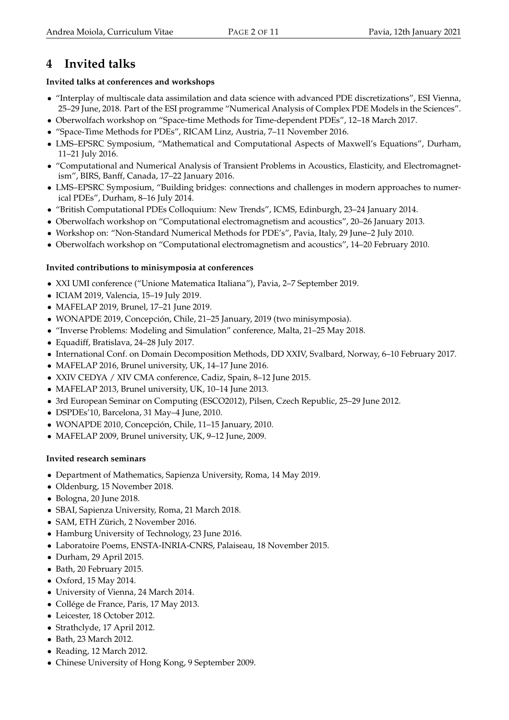# <span id="page-1-0"></span>**4 Invited talks**

# <span id="page-1-1"></span>**Invited talks at conferences and workshops**

- "Interplay of multiscale data assimilation and data science with advanced PDE discretizations", ESI Vienna, 25–29 June, 2018. Part of the ESI programme "Numerical Analysis of Complex PDE Models in the Sciences".
- Oberwolfach workshop on "Space-time Methods for Time-dependent PDEs", 12–18 March 2017.
- "Space-Time Methods for PDEs", RICAM Linz, Austria, 7–11 November 2016.
- LMS–EPSRC Symposium, "Mathematical and Computational Aspects of Maxwell's Equations", Durham, 11–21 July 2016.
- "Computational and Numerical Analysis of Transient Problems in Acoustics, Elasticity, and Electromagnetism", BIRS, Banff, Canada, 17–22 January 2016.
- LMS–EPSRC Symposium, "Building bridges: connections and challenges in modern approaches to numerical PDEs", Durham, 8–16 July 2014.
- "British Computational PDEs Colloquium: New Trends", ICMS, Edinburgh, 23–24 January 2014.
- Oberwolfach workshop on "Computational electromagnetism and acoustics", 20–26 January 2013.
- Workshop on: "Non-Standard Numerical Methods for PDE's", Pavia, Italy, 29 June–2 July 2010.
- Oberwolfach workshop on "Computational electromagnetism and acoustics", 14–20 February 2010.

# <span id="page-1-2"></span>**Invited contributions to minisymposia at conferences**

- XXI UMI conference ("Unione Matematica Italiana"), Pavia, 2–7 September 2019.
- ICIAM 2019, Valencia, 15–19 July 2019.
- MAFELAP 2019, Brunel, 17–21 June 2019.
- WONAPDE 2019, Concepción, Chile, 21–25 January, 2019 (two minisymposia).
- "Inverse Problems: Modeling and Simulation" conference, Malta, 21–25 May 2018.
- Equadiff, Bratislava, 24–28 July 2017.
- International Conf. on Domain Decomposition Methods, DD XXIV, Svalbard, Norway, 6–10 February 2017.
- MAFELAP 2016, Brunel university, UK, 14–17 June 2016.
- XXIV CEDYA / XIV CMA conference, Cadiz, Spain, 8–12 June 2015.
- MAFELAP 2013, Brunel university, UK, 10–14 June 2013.
- 3rd European Seminar on Computing (ESCO2012), Pilsen, Czech Republic, 25–29 June 2012.
- DSPDEs'10, Barcelona, 31 May–4 June, 2010.
- WONAPDE 2010, Concepción, Chile, 11–15 January, 2010.
- MAFELAP 2009, Brunel university, UK, 9-12 June, 2009.

# <span id="page-1-3"></span>**Invited research seminars**

- Department of Mathematics, Sapienza University, Roma, 14 May 2019.
- Oldenburg, 15 November 2018.
- Bologna, 20 June 2018.
- SBAI, Sapienza University, Roma, 21 March 2018.
- SAM, ETH Zürich, 2 November 2016.
- Hamburg University of Technology, 23 June 2016.
- Laboratoire Poems, ENSTA-INRIA-CNRS, Palaiseau, 18 November 2015.
- Durham, 29 April 2015.
- Bath, 20 February 2015.
- Oxford, 15 May 2014.
- University of Vienna, 24 March 2014.
- Collége de France, Paris, 17 May 2013.
- Leicester, 18 October 2012.
- Strathclyde, 17 April 2012.
- Bath, 23 March 2012.
- Reading, 12 March 2012.
- Chinese University of Hong Kong, 9 September 2009.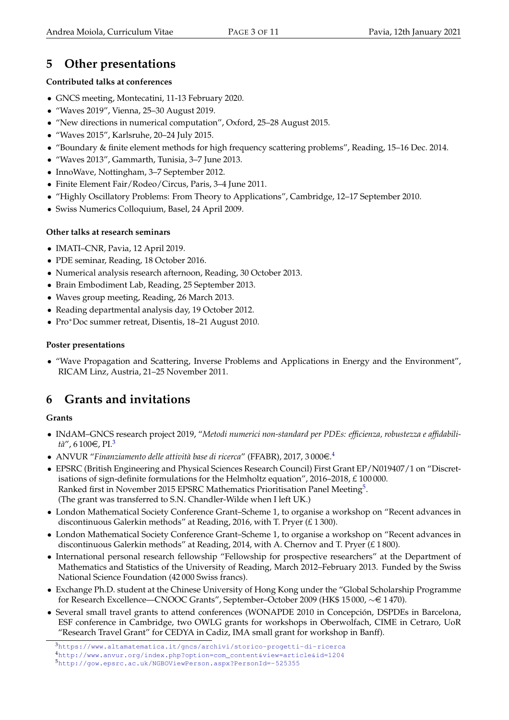# <span id="page-2-3"></span>**5 Other presentations**

# <span id="page-2-4"></span>**Contributed talks at conferences**

- GNCS meeting, Montecatini, 11-13 February 2020.
- "Waves 2019", Vienna, 25–30 August 2019.
- "New directions in numerical computation", Oxford, 25–28 August 2015.
- "Waves 2015", Karlsruhe, 20–24 July 2015.
- "Boundary & finite element methods for high frequency scattering problems", Reading, 15–16 Dec. 2014.
- "Waves 2013", Gammarth, Tunisia, 3–7 June 2013.
- InnoWave, Nottingham, 3–7 September 2012.
- Finite Element Fair/Rodeo/Circus, Paris, 3–4 June 2011.
- "Highly Oscillatory Problems: From Theory to Applications", Cambridge, 12–17 September 2010.
- Swiss Numerics Colloquium, Basel, 24 April 2009.

### <span id="page-2-5"></span>**Other talks at research seminars**

- IMATI–CNR, Pavia, 12 April 2019.
- PDE seminar, Reading, 18 October 2016.
- Numerical analysis research afternoon, Reading, 30 October 2013.
- Brain Embodiment Lab, Reading, 25 September 2013.
- Waves group meeting, Reading, 26 March 2013.
- Reading departmental analysis day, 19 October 2012.
- Pro<sup>∗</sup>Doc summer retreat, Disentis, 18–21 August 2010.

### <span id="page-2-6"></span>**Poster presentations**

• "Wave Propagation and Scattering, Inverse Problems and Applications in Energy and the Environment", RICAM Linz, Austria, 21–25 November 2011.

# <span id="page-2-7"></span>**6 Grants and invitations**

# <span id="page-2-8"></span>**Grants**

- INdAM–GNCS research project 2019, "*Metodi numerici non-standard per PDEs: efficienza, robustezza e affidabili-*tà", 6 100€, PI.<sup>[3](#page-2-0)</sup>
- $\bullet~$  ANVUR "Finanziamento delle attività base di ricerca" (FFABR), 2017, 3 000 $\in$ .<sup>[4](#page-2-1)</sup>
- EPSRC (British Engineering and Physical Sciences Research Council) First Grant EP/N019407/1 on "Discretisations of sign-definite formulations for the Helmholtz equation", 2016–2018, £ 100 000. Ranked first in November 201[5](#page-2-2) EPSRC Mathematics Prioritisation Panel Meeting<sup>5</sup>. (The grant was transferred to S.N. Chandler-Wilde when I left UK.)
- London Mathematical Society Conference Grant–Scheme 1, to organise a workshop on "Recent advances in discontinuous Galerkin methods" at Reading, 2016, with T. Pryer (£ 1 300).
- London Mathematical Society Conference Grant–Scheme 1, to organise a workshop on "Recent advances in discontinuous Galerkin methods" at Reading, 2014, with A. Chernov and T. Pryer (£ 1 800).
- International personal research fellowship "Fellowship for prospective researchers" at the Department of Mathematics and Statistics of the University of Reading, March 2012–February 2013. Funded by the Swiss National Science Foundation (42 000 Swiss francs).
- Exchange Ph.D. student at the Chinese University of Hong Kong under the "Global Scholarship Programme for Research Excellence—CNOOC Grants", September–October 2009 (HK\$ 15 000, ∼e 1 470).
- Several small travel grants to attend conferences (WONAPDE 2010 in Concepción, DSPDEs in Barcelona, ESF conference in Cambridge, two OWLG grants for workshops in Oberwolfach, CIME in Cetraro, UoR "Research Travel Grant" for CEDYA in Cadiz, IMA small grant for workshop in Banff).

<span id="page-2-2"></span><span id="page-2-1"></span><span id="page-2-0"></span><sup>3</sup><https://www.altamatematica.it/gncs/archivi/storico-progetti-di-ricerca> <sup>4</sup>[http://www.anvur.org/index.php?option=com\\_content&view=article&id=1204](http://www.anvur.org/index.php?option=com_content&view=article&id=1204) 5<http://gow.epsrc.ac.uk/NGBOViewPerson.aspx?PersonId=-525355>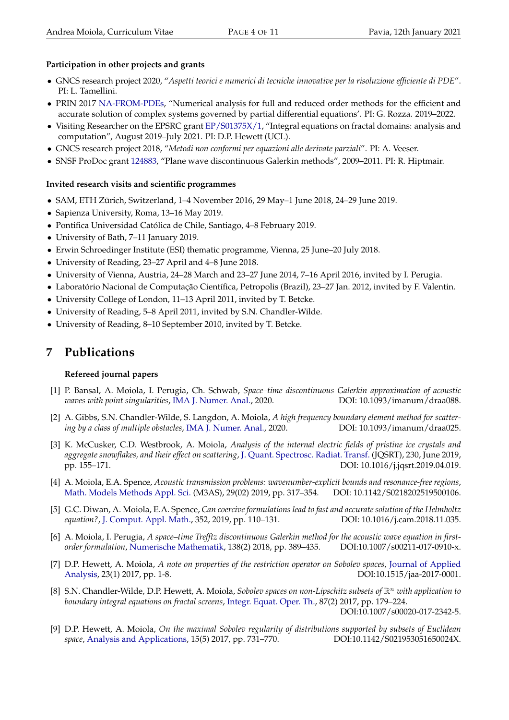### <span id="page-3-0"></span>**Participation in other projects and grants**

- GNCS research project 2020, "*Aspetti teorici e numerici di tecniche innovative per la risoluzione efficiente di PDE*". PI: L. Tamellini.
- PRIN 2017 [NA-FROM-PDEs,](https://people.sissa.it/~grozza/na-from-pdes/) "Numerical analysis for full and reduced order methods for the efficient and accurate solution of complex systems governed by partial differential equations'. PI: G. Rozza. 2019–2022.
- Visiting Researcher on the EPSRC grant [EP/S01375X/1,](https://gow.epsrc.ukri.org/NGBOViewGrant.aspx?GrantRef=EP/S01375X/1) "Integral equations on fractal domains: analysis and computation", August 2019–July 2021. PI: D.P. Hewett (UCL).
- GNCS research project 2018, "*Metodi non conformi per equazioni alle derivate parziali*". PI: A. Veeser.
- SNSF ProDoc grant [124883,](http://p3.snf.ch/Project-124883) "Plane wave discontinuous Galerkin methods", 2009–2011. PI: R. Hiptmair.

### <span id="page-3-1"></span>**Invited research visits and scientific programmes**

- SAM, ETH Zürich, Switzerland, 1–4 November 2016, 29 May–1 June 2018, 24–29 June 2019.
- Sapienza University, Roma, 13–16 May 2019.
- Pontifica Universidad Católica de Chile, Santiago, 4–8 February 2019.
- University of Bath, 7–11 January 2019.
- Erwin Schroedinger Institute (ESI) thematic programme, Vienna, 25 June–20 July 2018.
- University of Reading, 23–27 April and 4–8 June 2018.
- University of Vienna, Austria, 24–28 March and 23–27 June 2014, 7–16 April 2016, invited by I. Perugia.
- Laboratório Nacional de Computação Científica, Petropolis (Brazil), 23–27 Jan. 2012, invited by F. Valentin.
- University College of London, 11–13 April 2011, invited by T. Betcke.
- University of Reading, 5–8 April 2011, invited by S.N. Chandler-Wilde.
- University of Reading, 8–10 September 2010, invited by T. Betcke.

# <span id="page-3-2"></span>**7 Publications**

### <span id="page-3-3"></span>**Refereed journal papers**

- [1] P. Bansal, A. Moiola, I. Perugia, Ch. Schwab, *Space–time discontinuous Galerkin approximation of acoustic waves with point singularities*, [IMA J. Numer. Anal.,](https://academic.oup.com/imajna/advance-article/doi/10.1093/imanum/draa088/6015840?guestAccessKey=39b8e769-cd4d-4b9c-afd2-3a19db1b7619) 2020. DOI: 10.1093/imanum/draa088.
- [2] A. Gibbs, S.N. Chandler-Wilde, S. Langdon, A. Moiola, *A high frequency boundary element method for scattering by a class of multiple obstacles*, [IMA J. Numer. Anal.,](https://academic.oup.com/imajna/advance-article/doi/10.1093/imanum/draa025/5874885?guestAccessKey=c38bbced-5935-4b4a-aa6f-cb33173001a5) 2020. DOI: 10.1093/imanum/draa025.
- [3] K. McCusker, C.D. Westbrook, A. Moiola, *Analysis of the internal electric fields of pristine ice crystals and aggregate snowflakes, and their effect on scattering*, [J. Quant. Spectrosc. Radiat. Transf.](https://doi.org/10.1016/j.jqsrt.2019.04.019) (JQSRT), 230, June 2019, pp. 155–171. DOI: 10.1016/j.jqsrt.2019.04.019.
- [4] A. Moiola, E.A. Spence, *Acoustic transmission problems: wavenumber-explicit bounds and resonance-free regions*, [Math. Models Methods Appl. Sci.](https://doi.org/10.1142/S0218202519500106) (M3AS), 29(02) 2019, pp. 317–354. DOI: 10.1142/S0218202519500106.
- [5] G.C. Diwan, A. Moiola, E.A. Spence, *Can coercive formulations lead to fast and accurate solution of the Helmholtz equation?*, [J. Comput. Appl. Math.,](https://doi.org/10.1016/j.cam.2018.11.035) 352, 2019, pp. 110–131. DOI: 10.1016/j.cam.2018.11.035.
- [6] A. Moiola, I. Perugia, *A space–time Trefftz discontinuous Galerkin method for the acoustic wave equation in firstorder formulation*, [Numerische Mathematik,](https://doi.org/10.1007/s00211-017-0910-x) 138(2) 2018, pp. 389–435. DOI:10.1007/s00211-017-0910-x.
- [7] D.P. Hewett, A. Moiola, *A note on properties of the restriction operator on Sobolev spaces*, [Journal of Applied](https://doi.org/10.1515/jaa-2017-0001) [Analysis,](https://doi.org/10.1515/jaa-2017-0001) 23(1) 2017, pp. 1-8. DOI:10.1515/jaa-2017-0001.
- [8] S.N. Chandler-Wilde, D.P. Hewett, A. Moiola, *Sobolev spaces on non-Lipschitz subsets of* R <sup>n</sup> *with application to boundary integral equations on fractal screens*, [Integr. Equat. Oper. Th.,](http://dx.doi.org/10.1007/s00020-017-2342-5) 87(2) 2017, pp. 179–224. DOI:10.1007/s00020-017-2342-5.
- [9] D.P. Hewett, A. Moiola, *On the maximal Sobolev regularity of distributions supported by subsets of Euclidean space*, [Analysis and Applications,](http://www.worldscientific.com/doi/abs/10.1142/S021953051650024X) 15(5) 2017, pp. 731–770. DOI:10.1142/S021953051650024X.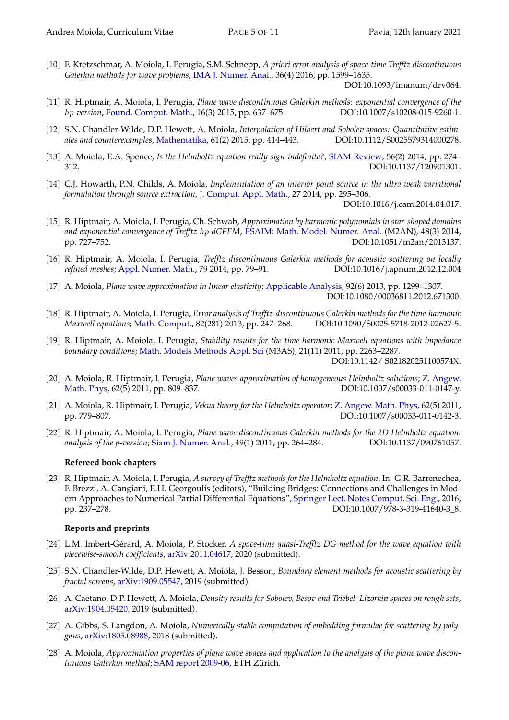[10] F. Kretzschmar, A. Moiola, I. Perugia, S.M. Schnepp, *A priori error analysis of space-time Trefftz discontinuous Galerkin methods for wave problems*, [IMA J. Numer. Anal.,](http://imajna.oxfordjournals.org/content/36/4/1599) 36(4) 2016, pp. 1599–1635.

DOI:10.1093/imanum/drv064.

- [11] R. Hiptmair, A. Moiola, I. Perugia, *Plane wave discontinuous Galerkin methods: exponential convergence of the* hp*-version*, [Found. Comput. Math.,](http://link.springer.com/article/10.1007/s10208-015-9260-1) 16(3) 2015, pp. 637–675. DOI:10.1007/s10208-015-9260-1.
- [12] S.N. Chandler-Wilde, D.P. Hewett, A. Moiola, *Interpolation of Hilbert and Sobolev spaces: Quantitative estimates and counterexamples*, [Mathematika,](http://dx.doi.org/10.1112/S0025579314000278) 61(2) 2015, pp. 414–443. DOI:10.1112/S0025579314000278.
- [13] A. Moiola, E.A. Spence, *Is the Helmholtz equation really sign-indefinite?*, [SIAM Review,](http://epubs.siam.org/doi/abs/10.1137/120901301) 56(2) 2014, pp. 274– 312. DOI:10.1137/120901301.
- [14] C.J. Howarth, P.N. Childs, A. Moiola, *Implementation of an interior point source in the ultra weak variational formulation through source extraction*, [J. Comput. Appl. Math.,](http://www.sciencedirect.com/science/article/pii/S0377042714002167) 27 2014, pp. 295–306.

DOI:10.1016/j.cam.2014.04.017.

- [15] R. Hiptmair, A. Moiola, I. Perugia, Ch. Schwab, *Approximation by harmonic polynomials in star-shaped domains and exponential convergence of Trefftz* hp*-dGFEM*, [ESAIM: Math. Model. Numer. Anal.](http://dx.doi.org/10.1051/m2an/2013137) (M2AN), 48(3) 2014, pp. 727–752. DOI:10.1051/m2an/2013137.
- [16] R. Hiptmair, A. Moiola, I. Perugia, *Trefftz discontinuous Galerkin methods for acoustic scattering on locally refined meshes*; [Appl. Numer. Math.,](http://www.sciencedirect.com/science/article/pii/S0168927413000044) 79 2014, pp. 79–91. DOI:10.1016/j.apnum.2012.12.004
- [17] A. Moiola, *Plane wave approximation in linear elasticity*; [Applicable Analysis,](http://www.tandfonline.com/doi/abs/10.1080/00036811.2012.671300) 92(6) 2013, pp. 1299–1307. DOI:10.1080/00036811.2012.671300.
- [18] R. Hiptmair, A. Moiola, I. Perugia, *Error analysis of Trefftz-discontinuous Galerkin methods for the time-harmonic Maxwell equations*; [Math. Comput.,](http://www.ams.org/journals/mcom/0000-000-00/S0025-5718-2012-02627-5/) 82(281) 2013, pp. 247–268. DOI:10.1090/S0025-5718-2012-02627-5.
- [19] R. Hiptmair, A. Moiola, I. Perugia, *Stability results for the time-harmonic Maxwell equations with impedance boundary conditions*; [Math. Models Methods Appl. Sci](http://dx.doi.org/10.1142/S021820251100574X) (M3AS), 21(11) 2011, pp. 2263–2287.

DOI:10.1142/ S021820251100574X.

- [20] A. Moiola, R. Hiptmair, I. Perugia, *Plane waves approximation of homogeneous Helmholtz solutions*; [Z. Angew.](http://www.springerlink.com/openurl.asp?genre=article&id=doi:10.1007/s00033-011-0147-y) [Math. Phys,](http://www.springerlink.com/openurl.asp?genre=article&id=doi:10.1007/s00033-011-0147-y) 62(5) 2011, pp. 809–837. DOI:10.1007/s00033-011-0147-y.
- [21] A. Moiola, R. Hiptmair, I. Perugia, *Vekua theory for the Helmholtz operator*; [Z. Angew. Math. Phys,](http://www.springerlink.com/openurl.asp?genre=article&id=doi:10.1007/s00033-011-0142-3) 62(5) 2011, pp. 779–807. DOI:10.1007/s00033-011-0142-3.
- [22] R. Hiptmair, A. Moiola, I. Perugia, *Plane wave discontinuous Galerkin methods for the 2D Helmholtz equation: analysis of the p-version*; [Siam J. Numer. Anal.,](http://dx.doi.org/10.1137/090761057) 49(1) 2011, pp. 264–284. DOI:10.1137/090761057.

#### <span id="page-4-0"></span>**Refereed book chapters**

[23] R. Hiptmair, A. Moiola, I. Perugia, *A survey of Trefftz methods for the Helmholtz equation*. In: G.R. Barrenechea, F. Brezzi, A. Cangiani, E.H. Georgoulis (editors), "Building Bridges: Connections and Challenges in Modern Approaches to Numerical Partial Differential Equations", [Springer Lect. Notes Comput. Sci. Eng.,](http://dx.doi.org/10.1007/978-3-319-41640-3_8) 2016, pp. 237–278. DOI:10.1007/978-3-319-41640-3\_8.

#### <span id="page-4-1"></span>**Reports and preprints**

- [24] L.M. Imbert-Gérard, A. Moiola, P. Stocker, *A space-time quasi-Trefftz DG method for the wave equation with piecewise-smooth coefficients*, [arXiv:2011.04617,](https://arxiv.org/abs/2011.04617) 2020 (submitted).
- [25] S.N. Chandler-Wilde, D.P. Hewett, A. Moiola, J. Besson, *Boundary element methods for acoustic scattering by fractal screens*, [arXiv:1909.05547,](https://arxiv.org/abs/1909.05547) 2019 (submitted).
- [26] A. Caetano, D.P. Hewett, A. Moiola, *Density results for Sobolev, Besov and Triebel–Lizorkin spaces on rough sets*, [arXiv:1904.05420,](https://arxiv.org/abs/1904.05420) 2019 (submitted).
- [27] A. Gibbs, S. Langdon, A. Moiola, *Numerically stable computation of embedding formulae for scattering by polygons*, [arXiv:1805.08988,](https://arxiv.org/abs/1805.08988) 2018 (submitted).
- [28] A. Moiola, *Approximation properties of plane wave spaces and application to the analysis of the plane wave discontinuous Galerkin method*; [SAM report 2009-06,](http://www.sam.math.ethz.ch/sam_reports/index.php?id=2009-06) ETH Zürich.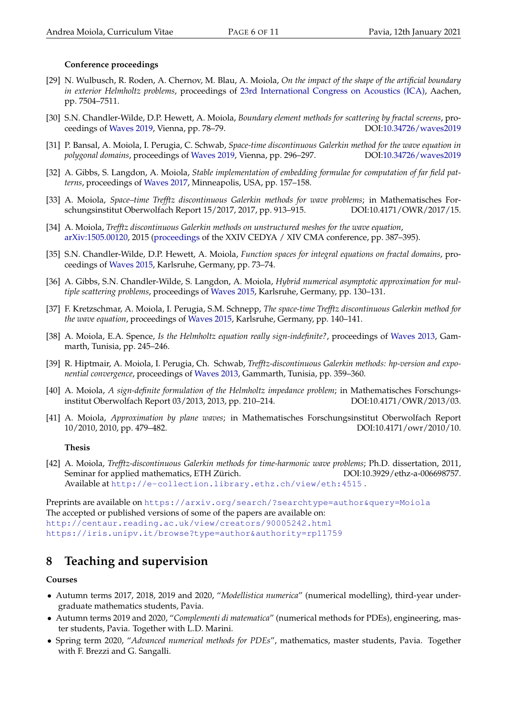### <span id="page-5-0"></span>**Conference proceedings**

- [29] N. Wulbusch, R. Roden, A. Chernov, M. Blau, A. Moiola, *On the impact of the shape of the artificial boundary in exterior Helmholtz problems*, proceedings of [23rd International Congress on Acoustics \(ICA\),](http://pub.dega-akustik.de/ICA2019/data/index.html) Aachen, pp. 7504–7511.
- [30] S.N. Chandler-Wilde, D.P. Hewett, A. Moiola, *Boundary element methods for scattering by fractal screens*, proceedings of [Waves 2019,](https://www.waves2019.at/) Vienna, pp. 78–79. DOI[:10.34726/waves2019](https://doi.org/10.34726/waves2019)
- [31] P. Bansal, A. Moiola, I. Perugia, C. Schwab, *Space-time discontinuous Galerkin method for the wave equation in polygonal domains*, proceedings of [Waves 2019,](https://www.waves2019.at/) Vienna, pp. 296–297. DOI[:10.34726/waves2019](https://doi.org/10.34726/waves2019)
- [32] A. Gibbs, S. Langdon, A. Moiola, *Stable implementation of embedding formulae for computation of far field patterns*, proceedings of [Waves 2017,](https://cceevents.umn.edu/waves-2017) Minneapolis, USA, pp. 157–158.
- [33] A. Moiola, *Space–time Trefftz discontinuous Galerkin methods for wave problems*; in Mathematisches Forschungsinstitut Oberwolfach Report 15/2017, 2017, pp. 913–915. DOI:10.4171/OWR/2017/15.
- [34] A. Moiola, *Trefftz discontinuous Galerkin methods on unstructured meshes for the wave equation*, [arXiv:1505.00120,](http://arxiv.org/abs/1505.00120) 2015 [\(proceedings](http://cedya2015-en.uca.es/cedya2015proceedings) of the XXIV CEDYA / XIV CMA conference, pp. 387–395).
- [35] S.N. Chandler-Wilde, D.P. Hewett, A. Moiola, *Function spaces for integral equations on fractal domains*, proceedings of [Waves 2015,](http://waves2015.math.kit.edu/boa/book-of-abstracts.pdf) Karlsruhe, Germany, pp. 73–74.
- [36] A. Gibbs, S.N. Chandler-Wilde, S. Langdon, A. Moiola, *Hybrid numerical asymptotic approximation for multiple scattering problems*, proceedings of [Waves 2015,](http://waves2015.math.kit.edu/boa/book-of-abstracts.pdf) Karlsruhe, Germany, pp. 130–131.
- [37] F. Kretzschmar, A. Moiola, I. Perugia, S.M. Schnepp, *The space-time Trefftz discontinuous Galerkin method for the wave equation*, proceedings of [Waves 2015,](http://waves2015.math.kit.edu/boa/book-of-abstracts.pdf) Karlsruhe, Germany, pp. 140–141.
- [38] A. Moiola, E.A. Spence, *Is the Helmholtz equation really sign-indefinite?*, proceedings of [Waves 2013,](http://www.lamsin.tn/waves13/proceedings.pdf) Gammarth, Tunisia, pp. 245–246.
- [39] R. Hiptmair, A. Moiola, I. Perugia, Ch. Schwab, *Trefftz-discontinuous Galerkin methods: hp-version and exponential convergence*, proceedings of [Waves 2013,](http://www.lamsin.tn/waves13/proceedings.pdf) Gammarth, Tunisia, pp. 359–360.
- [40] A. Moiola, *A sign-definite formulation of the Helmholtz impedance problem*; in Mathematisches Forschungsinstitut Oberwolfach Report 03/2013, 2013, pp. 210–214. DOI:10.4171/OWR/2013/03.
- [41] A. Moiola, *Approximation by plane waves*; in Mathematisches Forschungsinstitut Oberwolfach Report 10/2010, 2010, pp. 479–482. DOI:10.4171/owr/2010/10.

### <span id="page-5-1"></span>**Thesis**

[42] A. Moiola, *Trefftz-discontinuous Galerkin methods for time-harmonic wave problems*; Ph.D. dissertation, 2011, Seminar for applied mathematics, ETH Zürich. DOI:10.3929/ethz-a-006698757. Available at <http://e-collection.library.ethz.ch/view/eth:4515> .

Preprints are available on <https://arxiv.org/search/?searchtype=author&query=Moiola> The accepted or published versions of some of the papers are available on: <http://centaur.reading.ac.uk/view/creators/90005242.html> <https://iris.unipv.it/browse?type=author&authority=rp11759>

# <span id="page-5-2"></span>**8 Teaching and supervision**

### <span id="page-5-3"></span>**Courses**

- Autumn terms 2017, 2018, 2019 and 2020, "*Modellistica numerica*" (numerical modelling), third-year undergraduate mathematics students, Pavia.
- Autumn terms 2019 and 2020, "*Complementi di matematica*" (numerical methods for PDEs), engineering, master students, Pavia. Together with L.D. Marini.
- Spring term 2020, "*Advanced numerical methods for PDEs*", mathematics, master students, Pavia. Together with F. Brezzi and G. Sangalli.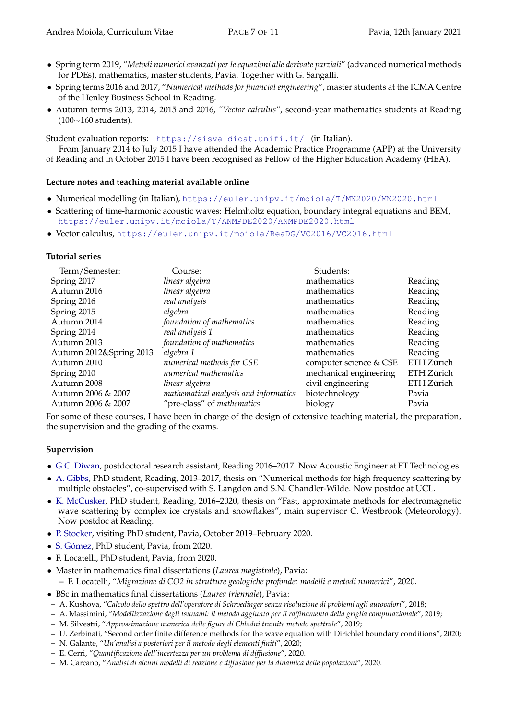- Spring term 2019, "*Metodi numerici avanzati per le equazioni alle derivate parziali*" (advanced numerical methods for PDEs), mathematics, master students, Pavia. Together with G. Sangalli.
- Spring terms 2016 and 2017, "*Numerical methods for financial engineering*", master students at the ICMA Centre of the Henley Business School in Reading.
- Autumn terms 2013, 2014, 2015 and 2016, "*Vector calculus*", second-year mathematics students at Reading (100∼160 students).

Student evaluation reports: <https://sisvaldidat.unifi.it/> (in Italian).

From January 2014 to July 2015 I have attended the Academic Practice Programme (APP) at the University of Reading and in October 2015 I have been recognised as Fellow of the Higher Education Academy (HEA).

### <span id="page-6-0"></span>**Lecture notes and teaching material available online**

- Numerical modelling (in Italian), <https://euler.unipv.it/moiola/T/MN2020/MN2020.html>
- Scattering of time-harmonic acoustic waves: Helmholtz equation, boundary integral equations and BEM, <https://euler.unipv.it/moiola/T/ANMPDE2020/ANMPDE2020.html>
- Vector calculus, <https://euler.unipv.it/moiola/ReaDG/VC2016/VC2016.html>

### <span id="page-6-1"></span>**Tutorial series**

| Term/Semester:          | Course:                               | Students:              |            |
|-------------------------|---------------------------------------|------------------------|------------|
| Spring 2017             | linear algebra                        | mathematics            | Reading    |
| Autumn 2016             | linear algebra                        | mathematics            | Reading    |
| Spring 2016             | real analysis                         | mathematics            | Reading    |
| Spring 2015             | algebra                               | mathematics            | Reading    |
| Autumn 2014             | foundation of mathematics             | mathematics            | Reading    |
| Spring 2014             | real analysis 1                       | mathematics            | Reading    |
| Autumn 2013             | foundation of mathematics             | mathematics            | Reading    |
| Autumn 2012&Spring 2013 | algebra 1                             | mathematics            | Reading    |
| Autumn 2010             | numerical methods for CSE             | computer science & CSE | ETH Zürich |
| Spring 2010             | numerical mathematics                 | mechanical engineering | ETH Zürich |
| Autumn 2008             | linear algebra                        | civil engineering      | ETH Zürich |
| Autumn 2006 & 2007      | mathematical analysis and informatics | biotechnology          | Pavia      |
| Autumn 2006 & 2007      | "pre-class" of mathematics            | biology                | Pavia      |

For some of these courses, I have been in charge of the design of extensive teaching material, the preparation, the supervision and the grading of the exams.

### <span id="page-6-2"></span>**Supervision**

- [G.C. Diwan,](https://sites.google.com/site/gcdiwan/) postdoctoral research assistant, Reading 2016–2017. Now Acoustic Engineer at FT Technologies.
- [A. Gibbs,](http://www.homepages.ucl.ac.uk/~ucahagi/) PhD student, Reading, 2013–2017, thesis on "Numerical methods for high frequency scattering by multiple obstacles", co-supervised with S. Langdon and S.N. Chandler-Wilde. Now postdoc at UCL.
- [K. McCusker,](https://research.reading.ac.uk/meteorology/people/karina-mccusker/) PhD student, Reading, 2016–2020, thesis on "Fast, approximate methods for electromagnetic wave scattering by complex ice crystals and snowflakes", main supervisor C. Westbrook (Meteorology). Now postdoc at Reading.
- [P. Stocker,](https://paulst.github.io/) visiting PhD student, Pavia, October 2019–February 2020.
- [S. Gómez,](https://scholar.google.it/citations?user=wYdaSlQAAAAJ&hl=it&oi=sra) PhD student, Pavia, from 2020.
- F. Locatelli, PhD student, Pavia, from 2020.
- Master in mathematics final dissertations (*Laurea magistrale*), Pavia: **–** F. Locatelli, "*Migrazione di CO2 in strutture geologiche profonde: modelli e metodi numerici*", 2020.
- BSc in mathematics final dissertations (*Laurea triennale*), Pavia:
- **–** A. Kushova, "*Calcolo dello spettro dell'operatore di Schroedinger senza risoluzione di problemi agli autovalori*", 2018;
- **–** A. Massimini, "*Modellizzazione degli tsunami: il metodo aggiunto per il raffinamento della griglia computazionale*", 2019;
- **–** M. Silvestri, "*Approssimazione numerica delle figure di Chladni tramite metodo spettrale*", 2019;
- **–** U. Zerbinati, "Second order finite difference methods for the wave equation with Dirichlet boundary conditions", 2020;
- **–** N. Galante, "*Un'analisi a posteriori per il metodo degli elementi finiti*", 2020;
- **–** E. Cerri, "*Quantificazione dell'incertezza per un problema di diffusione*", 2020.
- **–** M. Carcano, "*Analisi di alcuni modelli di reazione e diffusione per la dinamica delle popolazioni*", 2020.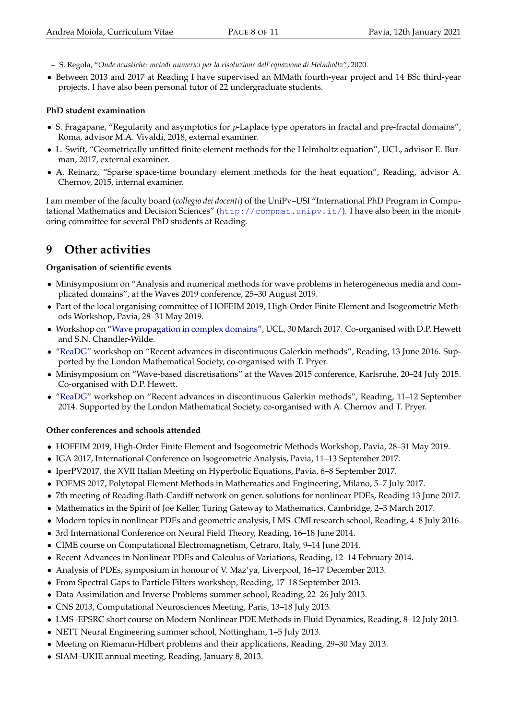- **–** S. Regola, "*Onde acustiche: metodi numerici per la risoluzione dell'equazione di Helmholtz*", 2020.
- Between 2013 and 2017 at Reading I have supervised an MMath fourth-year project and 14 BSc third-year projects. I have also been personal tutor of 22 undergraduate students.

### <span id="page-7-0"></span>**PhD student examination**

- S. Fragapane, "Regularity and asymptotics for p-Laplace type operators in fractal and pre-fractal domains", Roma, advisor M.A. Vivaldi, 2018, external examiner.
- L. Swift, "Geometrically unfitted finite element methods for the Helmholtz equation", UCL, advisor E. Burman, 2017, external examiner.
- A. Reinarz, "Sparse space-time boundary element methods for the heat equation", Reading, advisor A. Chernov, 2015, internal examiner.

I am member of the faculty board (*collegio dei docenti*) of the UniPv–USI "International PhD Program in Computational Mathematics and Decision Sciences" (<http://compmat.unipv.it/>). I have also been in the monitoring committee for several PhD students at Reading.

# <span id="page-7-1"></span>**9 Other activities**

### <span id="page-7-2"></span>**Organisation of scientific events**

- Minisymposium on "Analysis and numerical methods for wave problems in heterogeneous media and complicated domains", at the Waves 2019 conference, 25–30 August 2019.
- Part of the local organising committee of HOFEIM 2019, High-Order Finite Element and Isogeometric Methods Workshop, Pavia, 28–31 May 2019.
- Workshop on ["Wave propagation in complex domains"](https://www.ucl.ac.uk/~ucahdhe/WaveScatteringWorkshop.htm), UCL, 30 March 2017. Co-organised with D.P. Hewett and S.N. Chandler-Wilde.
- ["ReaDG"](https://euler.unipv.it/moiola/ReaDG/ReaDG2016.html) workshop on "Recent advances in discontinuous Galerkin methods", Reading, 13 June 2016. Supported by the London Mathematical Society, co-organised with T. Pryer.
- Minisymposium on "Wave-based discretisations" at the Waves 2015 conference, Karlsruhe, 20–24 July 2015. Co-organised with D.P. Hewett.
- ["ReaDG"](https://euler.unipv.it/moiola/ReaDG/ReaDG.html) workshop on "Recent advances in discontinuous Galerkin methods", Reading, 11–12 September 2014. Supported by the London Mathematical Society, co-organised with A. Chernov and T. Pryer.

### <span id="page-7-3"></span>**Other conferences and schools attended**

- HOFEIM 2019, High-Order Finite Element and Isogeometric Methods Workshop, Pavia, 28–31 May 2019.
- IGA 2017, International Conference on Isogeometric Analysis, Pavia, 11–13 September 2017.
- IperPV2017, the XVII Italian Meeting on Hyperbolic Equations, Pavia, 6–8 September 2017.
- POEMS 2017, Polytopal Element Methods in Mathematics and Engineering, Milano, 5–7 July 2017.
- 7th meeting of Reading-Bath-Cardiff network on gener. solutions for nonlinear PDEs, Reading 13 June 2017.
- Mathematics in the Spirit of Joe Keller, Turing Gateway to Mathematics, Cambridge, 2–3 March 2017.
- Modern topics in nonlinear PDEs and geometric analysis, LMS–CMI research school, Reading, 4–8 July 2016.
- 3rd International Conference on Neural Field Theory, Reading, 16–18 June 2014.
- CIME course on Computational Electromagnetism, Cetraro, Italy, 9–14 June 2014.
- Recent Advances in Nonlinear PDEs and Calculus of Variations, Reading, 12–14 February 2014.
- Analysis of PDEs, symposium in honour of V. Maz'ya, Liverpool, 16–17 December 2013.
- From Spectral Gaps to Particle Filters workshop, Reading, 17–18 September 2013.
- Data Assimilation and Inverse Problems summer school, Reading, 22–26 July 2013.
- CNS 2013, Computational Neurosciences Meeting, Paris, 13–18 July 2013.
- LMS–EPSRC short course on Modern Nonlinear PDE Methods in Fluid Dynamics, Reading, 8–12 July 2013.
- NETT Neural Engineering summer school, Nottingham, 1–5 July 2013.
- Meeting on Riemann-Hilbert problems and their applications, Reading, 29–30 May 2013.
- SIAM–UKIE annual meeting, Reading, January 8, 2013.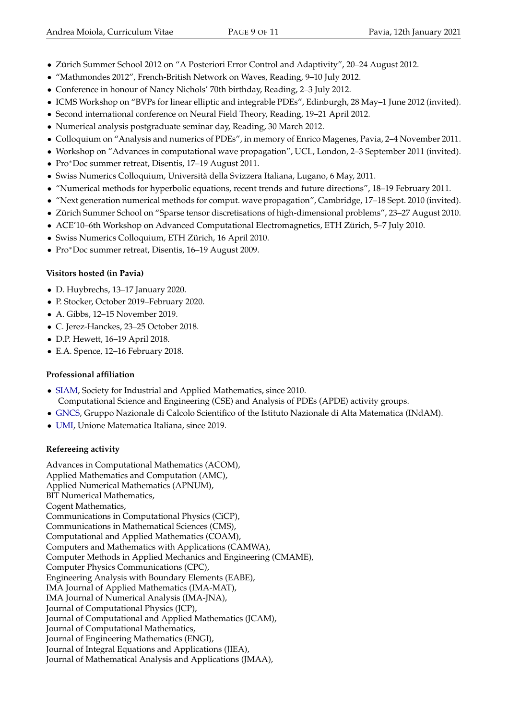- Zürich Summer School 2012 on "A Posteriori Error Control and Adaptivity", 20–24 August 2012.
- "Mathmondes 2012", French-British Network on Waves, Reading, 9–10 July 2012.
- Conference in honour of Nancy Nichols' 70th birthday, Reading, 2–3 July 2012.
- ICMS Workshop on "BVPs for linear elliptic and integrable PDEs", Edinburgh, 28 May–1 June 2012 (invited).
- Second international conference on Neural Field Theory, Reading, 19–21 April 2012.
- Numerical analysis postgraduate seminar day, Reading, 30 March 2012.
- Colloquium on "Analysis and numerics of PDEs", in memory of Enrico Magenes, Pavia, 2–4 November 2011.
- Workshop on "Advances in computational wave propagation", UCL, London, 2–3 September 2011 (invited).
- Pro<sup>∗</sup>Doc summer retreat, Disentis, 17–19 August 2011.
- Swiss Numerics Colloquium, Università della Svizzera Italiana, Lugano, 6 May, 2011.
- "Numerical methods for hyperbolic equations, recent trends and future directions", 18–19 February 2011.
- "Next generation numerical methods for comput. wave propagation", Cambridge, 17–18 Sept. 2010 (invited).
- Zürich Summer School on "Sparse tensor discretisations of high-dimensional problems", 23–27 August 2010.
- ACE'10–6th Workshop on Advanced Computational Electromagnetics, ETH Zürich, 5–7 July 2010.
- Swiss Numerics Colloquium, ETH Zürich, 16 April 2010.
- Pro<sup>∗</sup>Doc summer retreat, Disentis, 16–19 August 2009.

# <span id="page-8-0"></span>**Visitors hosted (in Pavia)**

- D. Huybrechs, 13–17 January 2020.
- P. Stocker, October 2019–February 2020.
- A. Gibbs, 12–15 November 2019.
- C. Jerez-Hanckes, 23–25 October 2018.
- D.P. Hewett, 16–19 April 2018.
- E.A. Spence, 12–16 February 2018.

# <span id="page-8-1"></span>**Professional affiliation**

- [SIAM,](http://www.siam.org/) Society for Industrial and Applied Mathematics, since 2010. Computational Science and Engineering (CSE) and Analysis of PDEs (APDE) activity groups.
- [GNCS,](http://www.altamatematica.it/gncs/) Gruppo Nazionale di Calcolo Scientifico of the Istituto Nazionale di Alta Matematica (INdAM).
- [UMI,](http://umi.dm.unibo.it/) Unione Matematica Italiana, since 2019.

# <span id="page-8-2"></span>**Refereeing activity**

Advances in Computational Mathematics (ACOM), Applied Mathematics and Computation (AMC), Applied Numerical Mathematics (APNUM), BIT Numerical Mathematics, Cogent Mathematics, Communications in Computational Physics (CiCP), Communications in Mathematical Sciences (CMS), Computational and Applied Mathematics (COAM), Computers and Mathematics with Applications (CAMWA), Computer Methods in Applied Mechanics and Engineering (CMAME), Computer Physics Communications (CPC), Engineering Analysis with Boundary Elements (EABE), IMA Journal of Applied Mathematics (IMA-MAT), IMA Journal of Numerical Analysis (IMA-JNA), Journal of Computational Physics (JCP), Journal of Computational and Applied Mathematics (JCAM), Journal of Computational Mathematics, Journal of Engineering Mathematics (ENGI), Journal of Integral Equations and Applications (JIEA), Journal of Mathematical Analysis and Applications (JMAA),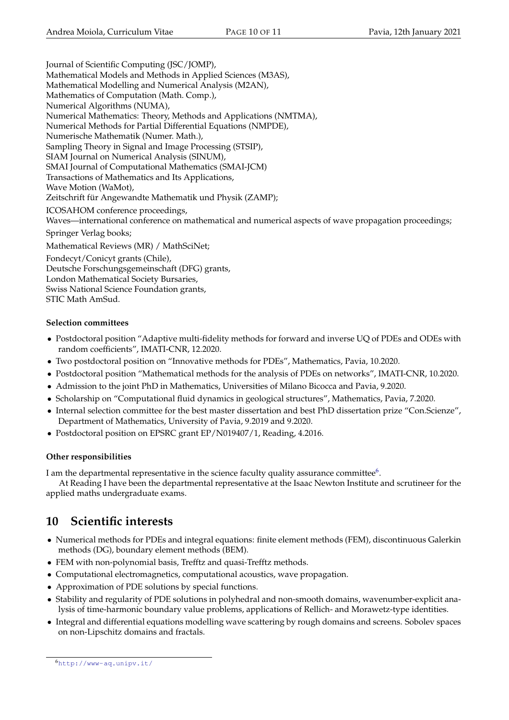Journal of Scientific Computing (JSC/JOMP), Mathematical Models and Methods in Applied Sciences (M3AS), Mathematical Modelling and Numerical Analysis (M2AN), Mathematics of Computation (Math. Comp.), Numerical Algorithms (NUMA), Numerical Mathematics: Theory, Methods and Applications (NMTMA), Numerical Methods for Partial Differential Equations (NMPDE), Numerische Mathematik (Numer. Math.), Sampling Theory in Signal and Image Processing (STSIP), SIAM Journal on Numerical Analysis (SINUM), SMAI Journal of Computational Mathematics (SMAI-JCM) Transactions of Mathematics and Its Applications, Wave Motion (WaMot), Zeitschrift für Angewandte Mathematik und Physik (ZAMP); ICOSAHOM conference proceedings, Waves—international conference on mathematical and numerical aspects of wave propagation proceedings; Springer Verlag books; Mathematical Reviews (MR) / MathSciNet; Fondecyt/Conicyt grants (Chile), Deutsche Forschungsgemeinschaft (DFG) grants, London Mathematical Society Bursaries, Swiss National Science Foundation grants,

STIC Math AmSud.

### <span id="page-9-1"></span>**Selection committees**

- Postdoctoral position "Adaptive multi-fidelity methods for forward and inverse UQ of PDEs and ODEs with random coefficients", IMATI-CNR, 12.2020.
- Two postdoctoral position on "Innovative methods for PDEs", Mathematics, Pavia, 10.2020.
- Postdoctoral position "Mathematical methods for the analysis of PDEs on networks", IMATI-CNR, 10.2020.
- Admission to the joint PhD in Mathematics, Universities of Milano Bicocca and Pavia, 9.2020.
- Scholarship on "Computational fluid dynamics in geological structures", Mathematics, Pavia, 7.2020.
- Internal selection committee for the best master dissertation and best PhD dissertation prize "Con.Scienze", Department of Mathematics, University of Pavia, 9.2019 and 9.2020.
- Postdoctoral position on EPSRC grant EP/N019407/1, Reading, 4.2016.

### <span id="page-9-2"></span>**Other responsibilities**

I am the departmental representative in the science faculty quality assurance committee $^6$  $^6$ .

At Reading I have been the departmental representative at the Isaac Newton Institute and scrutineer for the applied maths undergraduate exams.

# <span id="page-9-3"></span>**10 Scientific interests**

- Numerical methods for PDEs and integral equations: finite element methods (FEM), discontinuous Galerkin methods (DG), boundary element methods (BEM).
- FEM with non-polynomial basis, Trefftz and quasi-Trefftz methods.
- Computational electromagnetics, computational acoustics, wave propagation.
- Approximation of PDE solutions by special functions.
- Stability and regularity of PDE solutions in polyhedral and non-smooth domains, wavenumber-explicit analysis of time-harmonic boundary value problems, applications of Rellich- and Morawetz-type identities.
- Integral and differential equations modelling wave scattering by rough domains and screens. Sobolev spaces on non-Lipschitz domains and fractals.

<span id="page-9-0"></span><sup>6</sup><http://www-aq.unipv.it/>